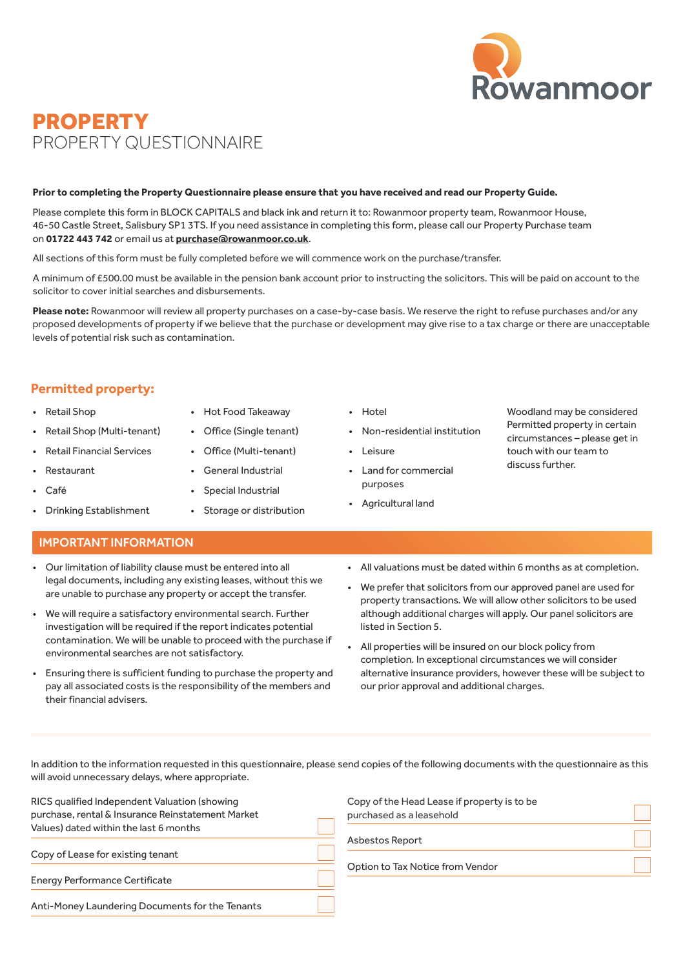

# PROPERTY PROPERTY QUESTIONNAIRE

#### **Prior to completing the Property Questionnaire please ensure that you have received and read our Property Guide.**

Please complete this form in BLOCK CAPITALS and black ink and return it to: Rowanmoor property team, Rowanmoor House, 46-50 Castle Street, Salisbury SP1 3TS. If you need assistance in completing this form, please call our Property Purchase team on **01722 443 742** or email us at **[purchase@rowanmoor.co.uk](mailto:purchase%40rowanmoor.co.uk?subject=)**.

All sections of this form must be fully completed before we will commence work on the purchase/transfer.

A minimum of £500.00 must be available in the pension bank account prior to instructing the solicitors. This will be paid on account to the solicitor to cover initial searches and disbursements.

**Please note:** Rowanmoor will review all property purchases on a case-by-case basis. We reserve the right to refuse purchases and/or any proposed developments of property if we believe that the purchase or development may give rise to a tax charge or there are unacceptable levels of potential risk such as contamination.

### **Permitted property:**

#### • Retail Shop

- Retail Shop (Multi-tenant)
- Retail Financial Services
- **Restaurant**
- Café
- Drinking Establishment
- Hot Food Takeaway
- Office (Single tenant)
- Office (Multi-tenant)
- General Industrial
- Special Industrial
- Storage or distribution
- Hotel
- Non-residential institution
- Leisure
- Land for commercial purposes
- Agricultural land

#### Woodland may be considered Permitted property in certain circumstances – please get in touch with our team to discuss further.

- IMPORTANT INFORMATION
- Our limitation of liability clause must be entered into all legal documents, including any existing leases, without this we are unable to purchase any property or accept the transfer.
- We will require a satisfactory environmental search. Further investigation will be required if the report indicates potential contamination. We will be unable to proceed with the purchase if environmental searches are not satisfactory.
- Ensuring there is sufficient funding to purchase the property and pay all associated costs is the responsibility of the members and their financial advisers.
- All valuations must be dated within 6 months as at completion.
- We prefer that solicitors from our approved panel are used for property transactions. We will allow other solicitors to be used although additional charges will apply. Our panel solicitors are listed in Section 5.
- All properties will be insured on our block policy from completion. In exceptional circumstances we will consider alternative insurance providers, however these will be subject to our prior approval and additional charges.

In addition to the information requested in this questionnaire, please send copies of the following documents with the questionnaire as this will avoid unnecessary delays, where appropriate.

| RICS qualified Independent Valuation (showing<br>purchase, rental & Insurance Reinstatement Market | Copy<br>purc |
|----------------------------------------------------------------------------------------------------|--------------|
| Values) dated within the last 6 months<br>Copy of Lease for existing tenant                        | Asbe         |
| <b>Energy Performance Certificate</b>                                                              | Opti         |
| Anti-Money Laundering Documents for the Tenants                                                    |              |

v of the Head Lease if property is to be hased as a leasehold Asbestos Report

on to Tax Notice from Vendor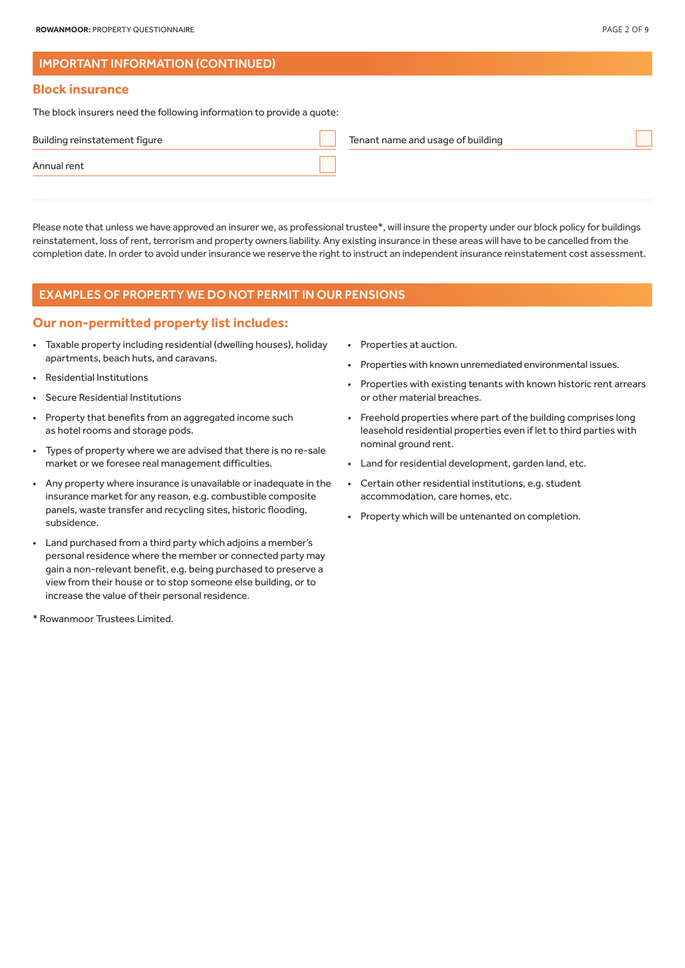### IMPORTANT INFORMATION (CONTINUED)

#### **Block insurance**

The block insurers need the following information to provide a quote:

| Building reinstatement figure | Tenant name and usage of building |
|-------------------------------|-----------------------------------|
| Annual rent                   |                                   |
|                               |                                   |

Please note that unless we have approved an insurer we, as professional trustee\*, will insure the property under our block policy for buildings reinstatement, loss of rent, terrorism and property owners liability. Any existing insurance in these areas will have to be cancelled from the completion date. In order to avoid under insurance we reserve the right to instruct an independent insurance reinstatement cost assessment.

#### EXAMPLES OF PROPERTY WE DO NOT PERMIT IN OUR PENSIONS

### **Our non-permitted property list includes:**

- Taxable property including residential (dwelling houses), holiday apartments, beach huts, and caravans.
- Residential Institutions
- Secure Residential Institutions
- Property that benefits from an aggregated income such as hotel rooms and storage pods.
- Types of property where we are advised that there is no re-sale market or we foresee real management difficulties.
- Any property where insurance is unavailable or inadequate in the insurance market for any reason, e.g. combustible composite panels, waste transfer and recycling sites, historic flooding, subsidence.
- Land purchased from a third party which adjoins a member's personal residence where the member or connected party may gain a non-relevant benefit, e.g. being purchased to preserve a view from their house or to stop someone else building, or to increase the value of their personal residence.
- \* Rowanmoor Trustees Limited.
- Properties at auction.
- Properties with known unremediated environmental issues.
- Properties with existing tenants with known historic rent arrears or other material breaches.
- Freehold properties where part of the building comprises long leasehold residential properties even if let to third parties with nominal ground rent.
- Land for residential development, garden land, etc.
- Certain other residential institutions, e.g. student accommodation, care homes, etc.
- Property which will be untenanted on completion.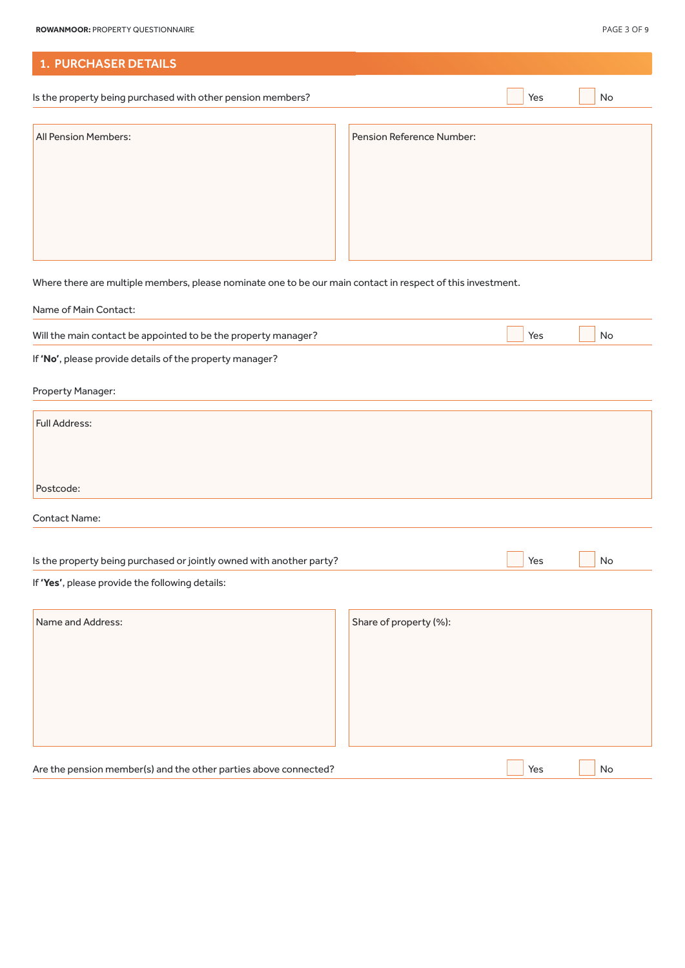| <b>1. PURCHASER DETAILS</b>                                 |                           |     |    |
|-------------------------------------------------------------|---------------------------|-----|----|
| Is the property being purchased with other pension members? |                           | Yes | No |
| <b>All Pension Members:</b>                                 | Pension Reference Number: |     |    |

Where there are multiple members, please nominate one to be our main contact in respect of this investment.

| Name of Main Contact:                                                |                        |     |    |  |
|----------------------------------------------------------------------|------------------------|-----|----|--|
| Will the main contact be appointed to be the property manager?       |                        | Yes | No |  |
| If 'No', please provide details of the property manager?             |                        |     |    |  |
| Property Manager:                                                    |                        |     |    |  |
| Full Address:                                                        |                        |     |    |  |
| Postcode:                                                            |                        |     |    |  |
| <b>Contact Name:</b>                                                 |                        |     |    |  |
| Is the property being purchased or jointly owned with another party? |                        | Yes | No |  |
| If 'Yes', please provide the following details:                      |                        |     |    |  |
| Name and Address:                                                    | Share of property (%): |     |    |  |

|                                                                  | $\frac{1}{2}$ |
|------------------------------------------------------------------|---------------|
|                                                                  |               |
|                                                                  |               |
|                                                                  |               |
|                                                                  |               |
|                                                                  |               |
|                                                                  |               |
|                                                                  |               |
|                                                                  |               |
|                                                                  |               |
|                                                                  |               |
|                                                                  |               |
|                                                                  |               |
|                                                                  |               |
|                                                                  |               |
|                                                                  |               |
|                                                                  |               |
| Are the pension member(s) and the other parties above connected? | Yes<br>No     |
|                                                                  |               |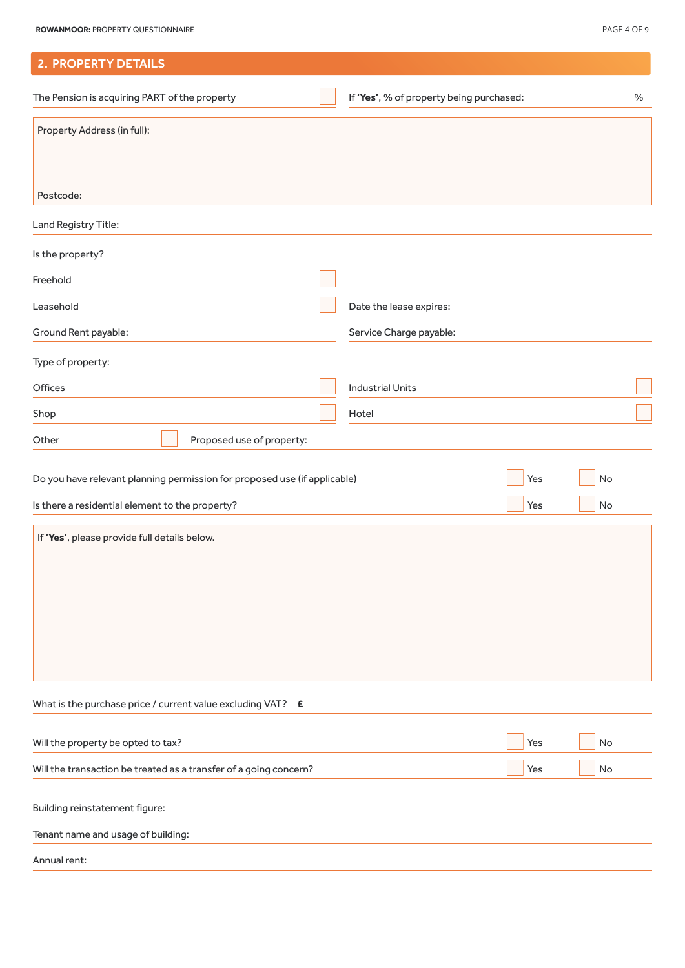| <b>2. PROPERTY DETAILS</b>                                                |                                          |     |    |   |
|---------------------------------------------------------------------------|------------------------------------------|-----|----|---|
| The Pension is acquiring PART of the property                             | If 'Yes', % of property being purchased: |     |    | % |
| Property Address (in full):                                               |                                          |     |    |   |
| Postcode:                                                                 |                                          |     |    |   |
| Land Registry Title:                                                      |                                          |     |    |   |
| Is the property?                                                          |                                          |     |    |   |
| Freehold                                                                  |                                          |     |    |   |
| Leasehold                                                                 | Date the lease expires:                  |     |    |   |
| Ground Rent payable:                                                      | Service Charge payable:                  |     |    |   |
| Type of property:                                                         |                                          |     |    |   |
| Offices                                                                   | <b>Industrial Units</b>                  |     |    |   |
| Shop                                                                      | Hotel                                    |     |    |   |
| Proposed use of property:<br>Other                                        |                                          |     |    |   |
| Do you have relevant planning permission for proposed use (if applicable) |                                          | Yes | No |   |
| Is there a residential element to the property?                           |                                          | Yes | No |   |
| If 'Yes', please provide full details below.                              |                                          |     |    |   |
| What is the purchase price / current value excluding VAT? E               |                                          |     |    |   |
| Will the property be opted to tax?                                        |                                          | Yes | No |   |
| Will the transaction be treated as a transfer of a going concern?         |                                          | Yes | No |   |
| Building reinstatement figure:                                            |                                          |     |    |   |
| Tenant name and usage of building:                                        |                                          |     |    |   |
| Annual rent:                                                              |                                          |     |    |   |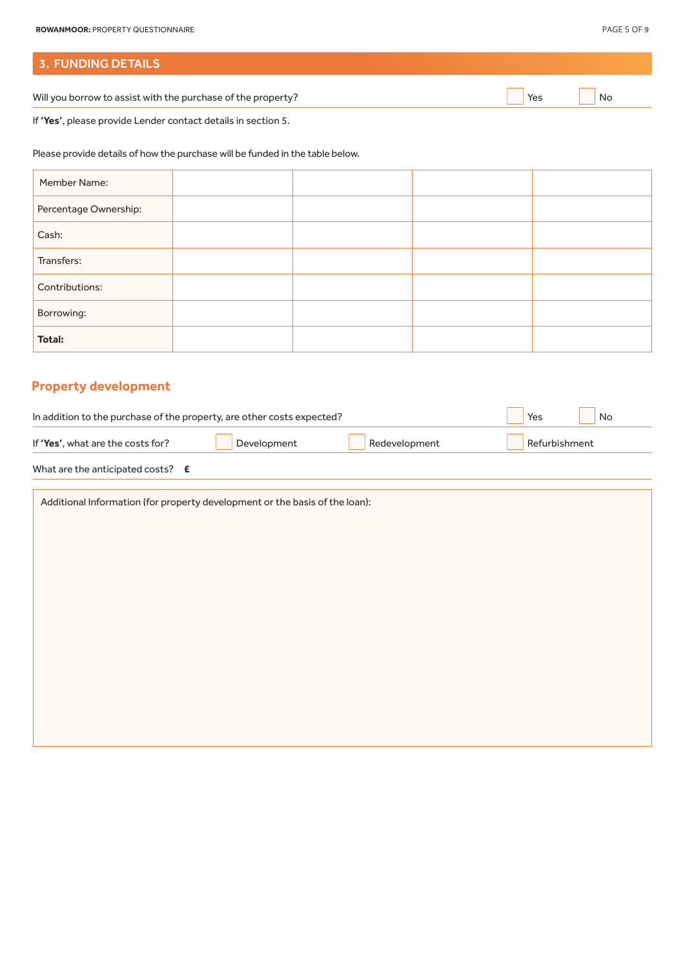# 3. FUNDING DETAILS

Will you borrow to assist with the purchase of the property? No will you borrow to assist with the purchase of the property?

If **'Yes'**, please provide Lender contact details in section 5.

Please provide details of how the purchase will be funded in the table below.

| Member Name:          |  |  |
|-----------------------|--|--|
| Percentage Ownership: |  |  |
| Cash:                 |  |  |
| Transfers:            |  |  |
| Contributions:        |  |  |
| Borrowing:            |  |  |
| <b>Total:</b>         |  |  |

# **Property development**

|                                            | In addition to the purchase of the property, are other costs expected? |               | Yes<br>No     |
|--------------------------------------------|------------------------------------------------------------------------|---------------|---------------|
| If 'Yes', what are the costs for?          | Development                                                            | Redevelopment | Refurbishment |
| What are the anticipated costs? $\epsilon$ |                                                                        |               |               |

| Additional Information (for property development or the basis of the loan): |
|-----------------------------------------------------------------------------|
|                                                                             |
|                                                                             |
|                                                                             |
|                                                                             |
|                                                                             |
|                                                                             |
|                                                                             |
|                                                                             |
|                                                                             |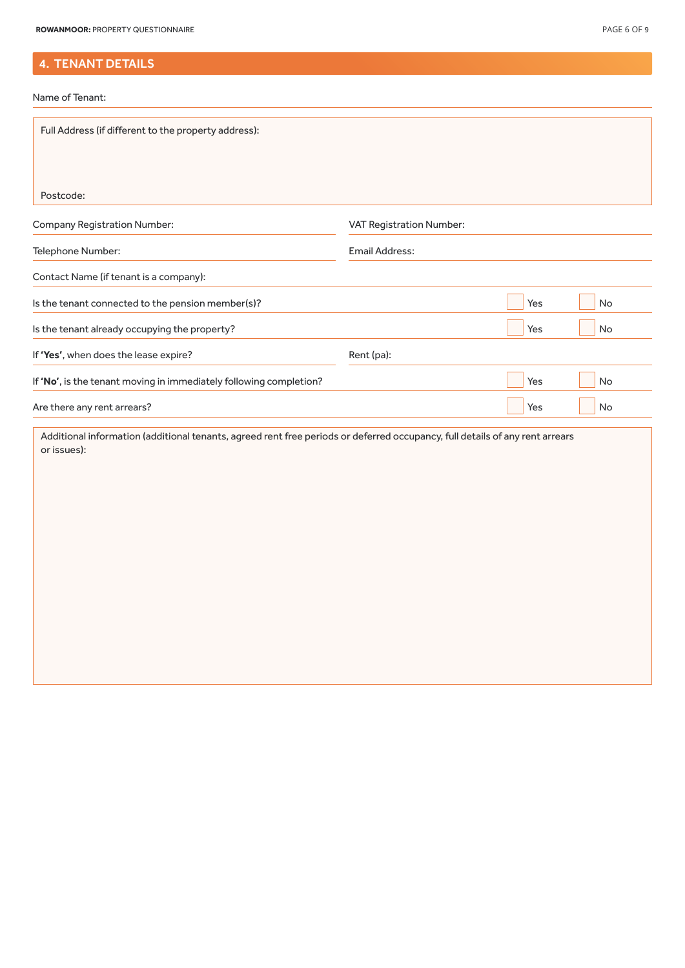# 4. TENANT DETAILS

Name of Tenant:

| Full Address (if different to the property address):                                                                         |                          |     |    |
|------------------------------------------------------------------------------------------------------------------------------|--------------------------|-----|----|
|                                                                                                                              |                          |     |    |
| Postcode:                                                                                                                    |                          |     |    |
| <b>Company Registration Number:</b>                                                                                          | VAT Registration Number: |     |    |
| Telephone Number:                                                                                                            | Email Address:           |     |    |
| Contact Name (if tenant is a company):                                                                                       |                          |     |    |
| Is the tenant connected to the pension member(s)?                                                                            |                          | Yes | No |
| Is the tenant already occupying the property?                                                                                |                          | Yes | No |
| If 'Yes', when does the lease expire?                                                                                        | Rent (pa):               |     |    |
| If 'No', is the tenant moving in immediately following completion?                                                           |                          | Yes | No |
| Are there any rent arrears?                                                                                                  |                          | Yes | No |
| Additional information (additional tenants, agreed rent free periods or deferred occupancy, full details of any rent arrears |                          |     |    |
| or issues):                                                                                                                  |                          |     |    |
|                                                                                                                              |                          |     |    |
|                                                                                                                              |                          |     |    |
|                                                                                                                              |                          |     |    |
|                                                                                                                              |                          |     |    |
|                                                                                                                              |                          |     |    |
|                                                                                                                              |                          |     |    |
|                                                                                                                              |                          |     |    |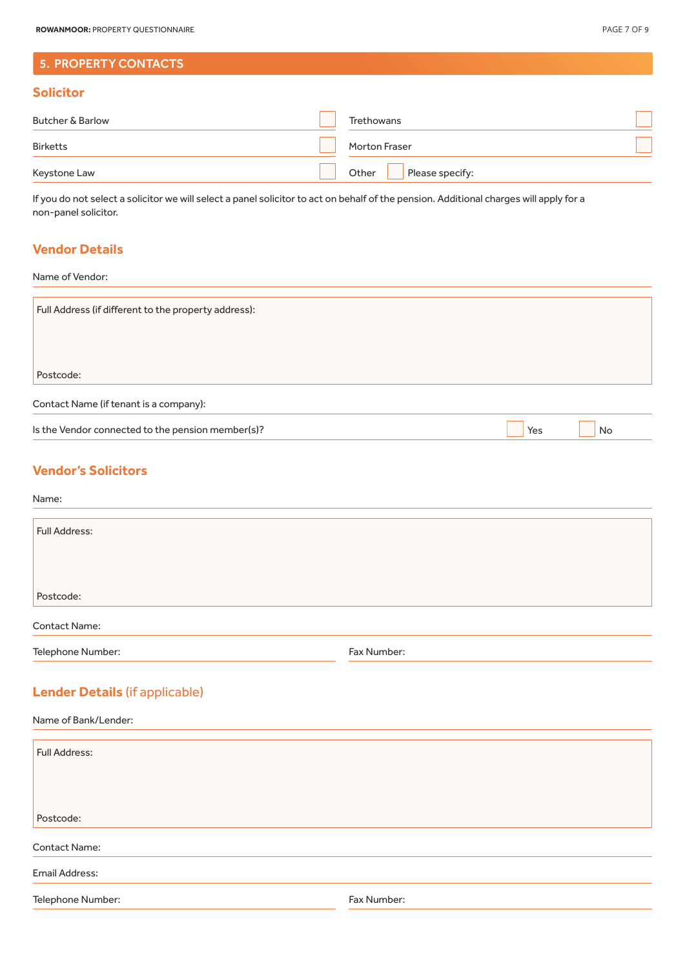# 5. PROPERTY CONTACTS

### **Solicitor**

| <b>Butcher &amp; Barlow</b> | Trethowans            | ×             |
|-----------------------------|-----------------------|---------------|
| <b>Birketts</b>             | Morton Fraser         | $\mathcal{L}$ |
| Keystone Law                | Other Please specify: |               |

If you do not select a solicitor we will select a panel solicitor to act on behalf of the pension. Additional charges will apply for a non-panel solicitor.

# **Vendor Details**

Name of Vendor:

| Full Address (if different to the property address): |     |    |
|------------------------------------------------------|-----|----|
|                                                      |     |    |
|                                                      |     |    |
|                                                      |     |    |
| Postcode:                                            |     |    |
|                                                      |     |    |
| Contact Name (if tenant is a company):               |     |    |
| Is the Vendor connected to the pension member(s)?    | Yes | No |

### **Vendor's Solicitors**

#### Name:

| Full Address:        |             |  |
|----------------------|-------------|--|
|                      |             |  |
|                      |             |  |
| Postcode:            |             |  |
| <b>Contact Name:</b> |             |  |
| Telephone Number:    | Fax Number: |  |

# **Lender Details** (if applicable)

| Name of Bank/Lender: |             |  |  |  |
|----------------------|-------------|--|--|--|
| Full Address:        |             |  |  |  |
|                      |             |  |  |  |
| Postcode:            |             |  |  |  |
| <b>Contact Name:</b> |             |  |  |  |
| Email Address:       |             |  |  |  |
| Telephone Number:    | Fax Number: |  |  |  |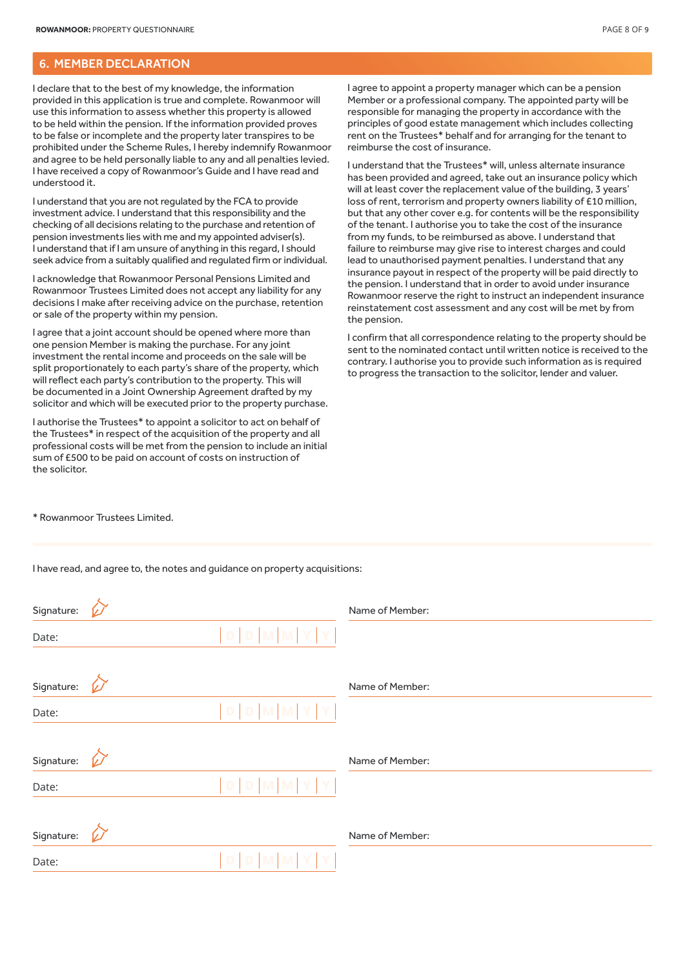### 6. MEMBER DECLARATION

I declare that to the best of my knowledge, the information provided in this application is true and complete. Rowanmoor will use this information to assess whether this property is allowed to be held within the pension. If the information provided proves to be false or incomplete and the property later transpires to be prohibited under the Scheme Rules, I hereby indemnify Rowanmoor and agree to be held personally liable to any and all penalties levied. I have received a copy of Rowanmoor's Guide and I have read and understood it.

I understand that you are not regulated by the FCA to provide investment advice. I understand that this responsibility and the checking of all decisions relating to the purchase and retention of pension investments lies with me and my appointed adviser(s). I understand that if I am unsure of anything in this regard, I should seek advice from a suitably qualified and regulated firm or individual.

I acknowledge that Rowanmoor Personal Pensions Limited and Rowanmoor Trustees Limited does not accept any liability for any decisions I make after receiving advice on the purchase, retention or sale of the property within my pension.

I agree that a joint account should be opened where more than one pension Member is making the purchase. For any joint investment the rental income and proceeds on the sale will be split proportionately to each party's share of the property, which will reflect each party's contribution to the property. This will be documented in a Joint Ownership Agreement drafted by my solicitor and which will be executed prior to the property purchase.

I authorise the Trustees\* to appoint a solicitor to act on behalf of the Trustees\* in respect of the acquisition of the property and all professional costs will be met from the pension to include an initial sum of £500 to be paid on account of costs on instruction of the solicitor.

I agree to appoint a property manager which can be a pension Member or a professional company. The appointed party will be responsible for managing the property in accordance with the principles of good estate management which includes collecting rent on the Trustees\* behalf and for arranging for the tenant to reimburse the cost of insurance.

I understand that the Trustees\* will, unless alternate insurance has been provided and agreed, take out an insurance policy which will at least cover the replacement value of the building, 3 years' loss of rent, terrorism and property owners liability of £10 million, but that any other cover e.g. for contents will be the responsibility of the tenant. I authorise you to take the cost of the insurance from my funds, to be reimbursed as above. I understand that failure to reimburse may give rise to interest charges and could lead to unauthorised payment penalties. I understand that any insurance payout in respect of the property will be paid directly to the pension. I understand that in order to avoid under insurance Rowanmoor reserve the right to instruct an independent insurance reinstatement cost assessment and any cost will be met by from the pension.

I confirm that all correspondence relating to the property should be sent to the nominated contact until written notice is received to the contrary. I authorise you to provide such information as is required to progress the transaction to the solicitor, lender and valuer.

\* Rowanmoor Trustees Limited.

I have read, and agree to, the notes and guidance on property acquisitions:

| Signature: |   |               | Name of Member: |
|------------|---|---------------|-----------------|
| Date:      |   | $D D M M Y Y$ |                 |
| Signature: | W |               | Name of Member: |
| Date:      |   | D D M M Y Y   |                 |
| Signature: | v |               | Name of Member: |
| Date:      |   | D D M M Y Y   |                 |
| Signature: | v |               | Name of Member: |
| Date:      |   | D D M M Y Y   |                 |